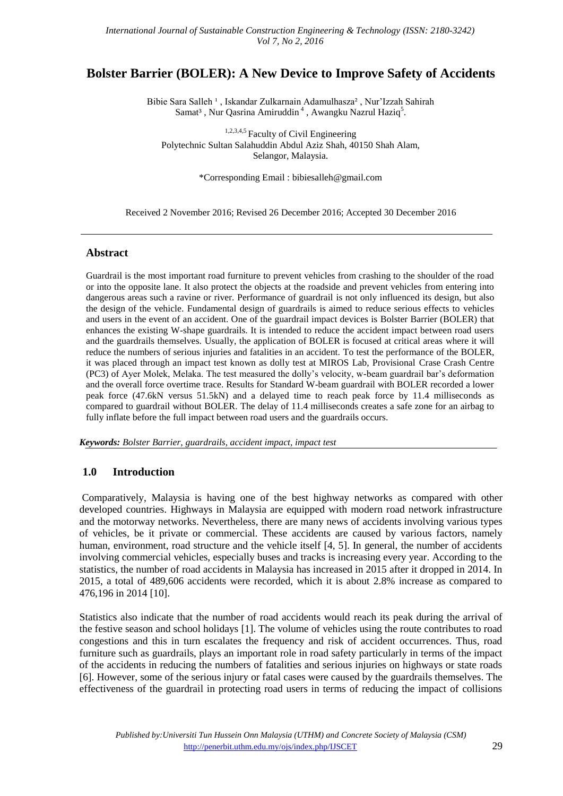# **Bolster Barrier (BOLER): A New Device to Improve Safety of Accidents**

Bibie Sara Salleh <sup>1</sup>, Iskandar Zulkarnain Adamulhasza<sup>2</sup>, Nur'Izzah Sahirah Samat<sup>3</sup>, Nur Qasrina Amiruddin<sup>4</sup>, Awangku Nazrul Haziq<sup>5</sup>.

1,2,3,4,5 Faculty of Civil Engineering Polytechnic Sultan Salahuddin Abdul Aziz Shah, 40150 Shah Alam, Selangor, Malaysia.

\*Corresponding Email : [bibiesalleh@gmail.com](mailto:bibiesalleh@gmail.com)

Received 2 November 2016; Revised 26 December 2016; Accepted 30 December 2016

### **Abstract**

Guardrail is the most important road furniture to prevent vehicles from crashing to the shoulder of the road or into the opposite lane. It also protect the objects at the roadside and prevent vehicles from entering into dangerous areas such a ravine or river. Performance of guardrail is not only influenced its design, but also the design of the vehicle. Fundamental design of guardrails is aimed to reduce serious effects to vehicles and users in the event of an accident. One of the guardrail impact devices is Bolster Barrier (BOLER) that enhances the existing W-shape guardrails. It is intended to reduce the accident impact between road users and the guardrails themselves. Usually, the application of BOLER is focused at critical areas where it will reduce the numbers of serious injuries and fatalities in an accident. To test the performance of the BOLER, it was placed through an impact test known as dolly test at MIROS Lab, Provisional Crase Crash Centre (PC3) of Ayer Molek, Melaka. The test measured the dolly's velocity, w-beam guardrail bar's deformation and the overall force overtime trace. Results for Standard W-beam guardrail with BOLER recorded a lower peak force (47.6kN versus 51.5kN) and a delayed time to reach peak force by 11.4 milliseconds as compared to guardrail without BOLER. The delay of 11.4 milliseconds creates a safe zone for an airbag to fully inflate before the full impact between road users and the guardrails occurs.

*Keywords: Bolster Barrier, guardrails, accident impact, impact test*

## **1.0 Introduction**

Comparatively, Malaysia is having one of the best highway networks as compared with other developed countries. Highways in Malaysia are equipped with modern road network infrastructure and the motorway networks. Nevertheless, there are many news of accidents involving various types of vehicles, be it private or commercial. These accidents are caused by various factors, namely human, environment, road structure and the vehicle itself [4, 5]. In general, the number of accidents involving commercial vehicles, especially buses and tracks is increasing every year. According to the statistics, the number of road accidents in Malaysia has increased in 2015 after it dropped in 2014. In 2015, a total of 489,606 accidents were recorded, which it is about 2.8% increase as compared to 476,196 in 2014 [10].

Statistics also indicate that the number of road accidents would reach its peak during the arrival of the festive season and school holidays [1]. The volume of vehicles using the route contributes to road congestions and this in turn escalates the frequency and risk of accident occurrences. Thus, road furniture such as guardrails, plays an important role in road safety particularly in terms of the impact of the accidents in reducing the numbers of fatalities and serious injuries on highways or state roads [6]. However, some of the serious injury or fatal cases were caused by the guardrails themselves. The effectiveness of the guardrail in protecting road users in terms of reducing the impact of collisions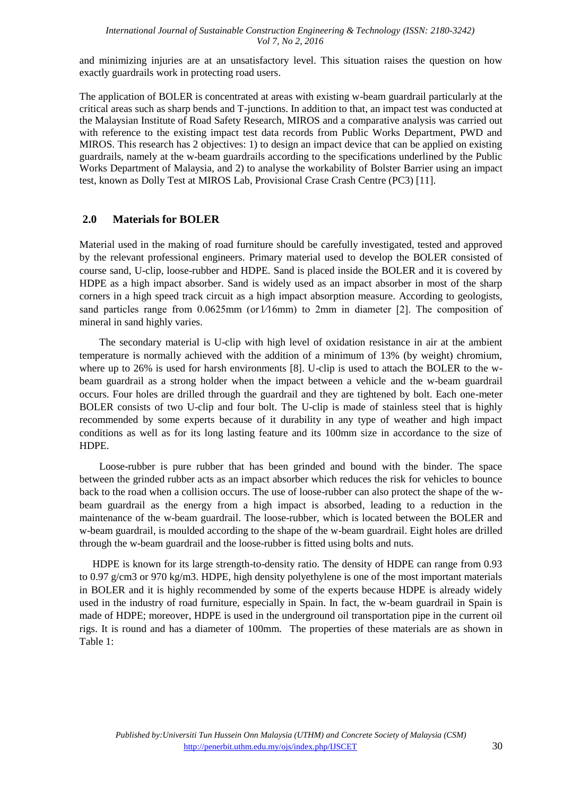and minimizing injuries are at an unsatisfactory level. This situation raises the question on how exactly guardrails work in protecting road users.

The application of BOLER is concentrated at areas with existing w-beam guardrail particularly at the critical areas such as sharp bends and T-junctions. In addition to that, an impact test was conducted at the Malaysian Institute of Road Safety Research, MIROS and a comparative analysis was carried out with reference to the existing impact test data records from Public Works Department, PWD and MIROS. This research has 2 objectives: 1) to design an impact device that can be applied on existing guardrails, namely at the w-beam guardrails according to the specifications underlined by the Public Works Department of Malaysia, and 2) to analyse the workability of Bolster Barrier using an impact test, known as Dolly Test at MIROS Lab, Provisional Crase Crash Centre (PC3) [11].

### **2.0 Materials for BOLER**

Material used in the making of road furniture should be carefully investigated, tested and approved by the relevant professional engineers. Primary material used to develop the BOLER consisted of course sand, U-clip, loose-rubber and HDPE. Sand is placed inside the BOLER and it is covered by HDPE as a high impact absorber. Sand is widely used as an impact absorber in most of the sharp corners in a high speed track circuit as a high impact absorption measure. According to geologists, sand particles range from 0.0625mm (or 1/16mm) to 2mm in diameter [2]. The composition of mineral in sand highly varies.

The secondary material is U-clip with high level of oxidation resistance in air at the ambient temperature is normally achieved with the addition of a minimum of 13% (by weight) chromium, where up to 26% is used for harsh environments [8]. U-clip is used to attach the BOLER to the wbeam guardrail as a strong holder when the impact between a vehicle and the w-beam guardrail occurs. Four holes are drilled through the guardrail and they are tightened by bolt. Each one-meter BOLER consists of two U-clip and four bolt. The U-clip is made of stainless steel that is highly recommended by some experts because of it durability in any type of weather and high impact conditions as well as for its long lasting feature and its 100mm size in accordance to the size of HDPE.

Loose-rubber is pure rubber that has been grinded and bound with the binder. The space between the grinded rubber acts as an impact absorber which reduces the risk for vehicles to bounce back to the road when a collision occurs. The use of loose-rubber can also protect the shape of the wbeam guardrail as the energy from a high impact is absorbed, leading to a reduction in the maintenance of the w-beam guardrail. The loose-rubber, which is located between the BOLER and w-beam guardrail, is moulded according to the shape of the w-beam guardrail. Eight holes are drilled through the w-beam guardrail and the loose-rubber is fitted using bolts and nuts.

 HDPE is known for its large strength-to-density ratio. The density of HDPE can range from 0.93 to 0.97 g/cm3 or 970 kg/m3. HDPE, high density polyethylene is one of the most important materials in BOLER and it is highly recommended by some of the experts because HDPE is already widely used in the industry of road furniture, especially in Spain. In fact, the w-beam guardrail in Spain is made of HDPE; moreover, HDPE is used in the underground oil transportation pipe in the current oil rigs. It is round and has a diameter of 100mm. The properties of these materials are as shown in Table 1: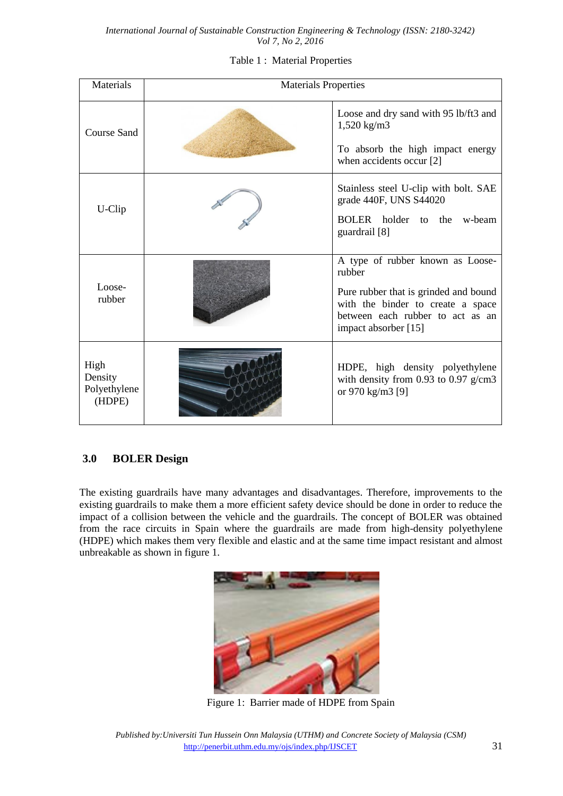| Materials                                 | <b>Materials Properties</b> |                                                                                                                                                                                      |  |
|-------------------------------------------|-----------------------------|--------------------------------------------------------------------------------------------------------------------------------------------------------------------------------------|--|
| Course Sand                               |                             | Loose and dry sand with 95 lb/ft3 and<br>$1,520$ kg/m3<br>To absorb the high impact energy<br>when accidents occur [2]                                                               |  |
| U-Clip                                    |                             | Stainless steel U-clip with bolt. SAE<br>grade 440F, UNS S44020<br>BOLER holder to the w-beam<br>guardrail [8]                                                                       |  |
| Loose-<br>rubber                          |                             | A type of rubber known as Loose-<br>rubber<br>Pure rubber that is grinded and bound<br>with the binder to create a space<br>between each rubber to act as an<br>impact absorber [15] |  |
| High<br>Density<br>Polyethylene<br>(HDPE) |                             | HDPE, high density polyethylene<br>with density from 0.93 to 0.97 $g/cm3$<br>or 970 kg/m3 [9]                                                                                        |  |

### Table 1 : Material Properties

## **3.0 BOLER Design**

The existing guardrails have many advantages and disadvantages. Therefore, improvements to the existing guardrails to make them a more efficient safety device should be done in order to reduce the impact of a collision between the vehicle and the guardrails. The concept of BOLER was obtained from the race circuits in Spain where the guardrails are made from high-density polyethylene (HDPE) which makes them very flexible and elastic and at the same time impact resistant and almost unbreakable as shown in figure 1.



Figure 1: Barrier made of HDPE from Spain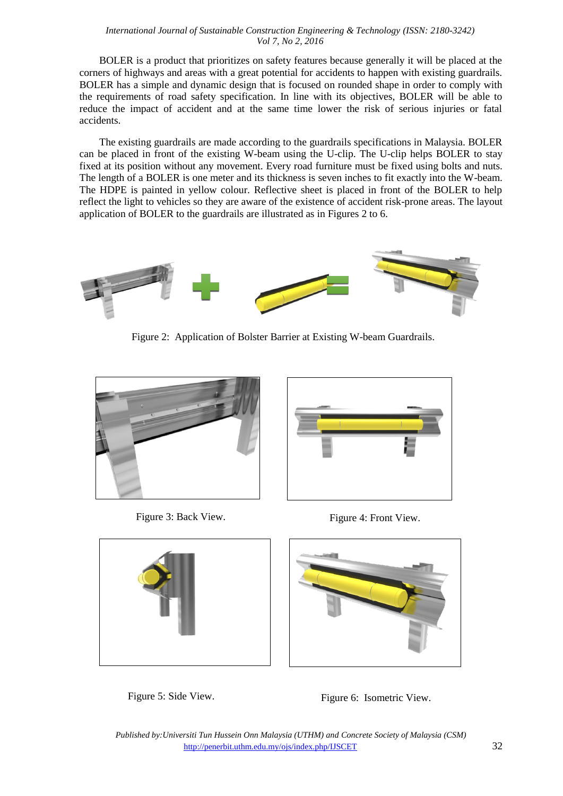BOLER is a product that prioritizes on safety features because generally it will be placed at the corners of highways and areas with a great potential for accidents to happen with existing guardrails. BOLER has a simple and dynamic design that is focused on rounded shape in order to comply with the requirements of road safety specification. In line with its objectives, BOLER will be able to reduce the impact of accident and at the same time lower the risk of serious injuries or fatal accidents.

The existing guardrails are made according to the guardrails specifications in Malaysia. BOLER can be placed in front of the existing W-beam using the U-clip. The U-clip helps BOLER to stay fixed at its position without any movement. Every road furniture must be fixed using bolts and nuts. The length of a BOLER is one meter and its thickness is seven inches to fit exactly into the W-beam. The HDPE is painted in yellow colour. Reflective sheet is placed in front of the BOLER to help reflect the light to vehicles so they are aware of the existence of accident risk-prone areas. The layout application of BOLER to the guardrails are illustrated as in Figures 2 to 6.



Figure 2: Application of Bolster Barrier at Existing W-beam Guardrails.



Figure 3: Back View.





Figure 4: Front View.



Figure 5: Side View. Figure 6: Isometric View.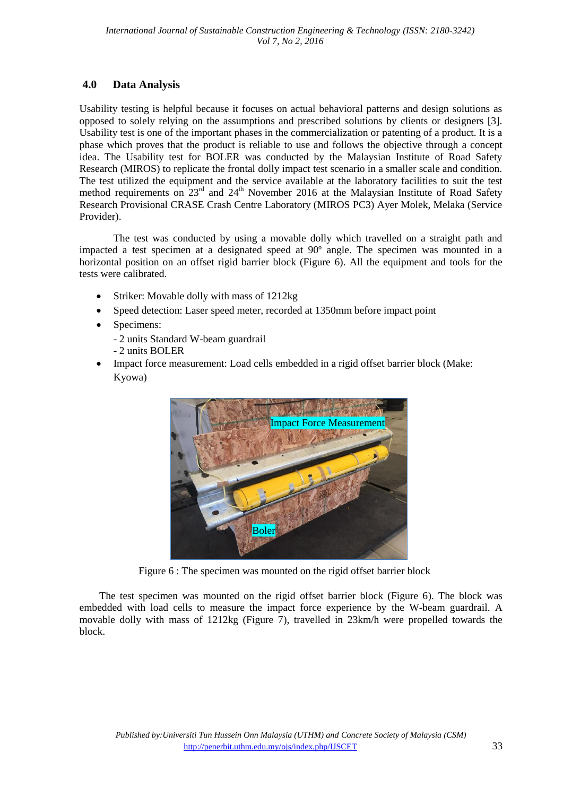## **4.0 Data Analysis**

Usability testing is helpful because it focuses on actual behavioral patterns and design solutions as opposed to solely relying on the assumptions and prescribed solutions by clients or designers [3]. Usability test is one of the important phases in the commercialization or patenting of a product. It is a phase which proves that the product is reliable to use and follows the objective through a concept idea. The Usability test for BOLER was conducted by the Malaysian Institute of Road Safety Research (MIROS) to replicate the frontal dolly impact test scenario in a smaller scale and condition. The test utilized the equipment and the service available at the laboratory facilities to suit the test method requirements on  $23<sup>rd</sup>$  and  $24<sup>th</sup>$  November 2016 at the Malaysian Institute of Road Safety Research Provisional CRASE Crash Centre Laboratory (MIROS PC3) Ayer Molek, Melaka (Service Provider).

The test was conducted by using a movable dolly which travelled on a straight path and impacted a test specimen at a designated speed at 90º angle. The specimen was mounted in a horizontal position on an offset rigid barrier block (Figure 6). All the equipment and tools for the tests were calibrated.

- Striker: Movable dolly with mass of 1212kg
- Speed detection: Laser speed meter, recorded at 1350mm before impact point
- Specimens:
	- 2 units Standard W-beam guardrail
	- 2 units BOLER
- Impact force measurement: Load cells embedded in a rigid offset barrier block (Make: Kyowa)



Figure 6 : The specimen was mounted on the rigid offset barrier block

The test specimen was mounted on the rigid offset barrier block (Figure 6). The block was embedded with load cells to measure the impact force experience by the W-beam guardrail. A movable dolly with mass of 1212kg (Figure 7), travelled in 23km/h were propelled towards the block.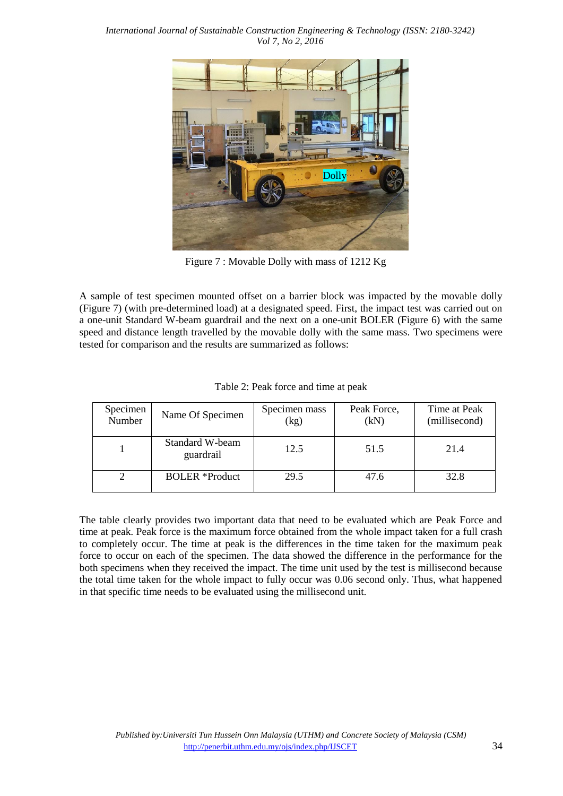

Figure 7 : Movable Dolly with mass of 1212 Kg

A sample of test specimen mounted offset on a barrier block was impacted by the movable dolly (Figure 7) (with pre-determined load) at a designated speed. First, the impact test was carried out on a one-unit Standard W-beam guardrail and the next on a one-unit BOLER (Figure 6) with the same speed and distance length travelled by the movable dolly with the same mass. Two specimens were tested for comparison and the results are summarized as follows:

| Table 2: Peak force and time at peak |  |
|--------------------------------------|--|
|--------------------------------------|--|

| Specimen<br>Number | Name Of Specimen             | Specimen mass<br>(kg) | Peak Force,<br>(kN) | Time at Peak<br>(millisecond) |
|--------------------|------------------------------|-----------------------|---------------------|-------------------------------|
|                    | Standard W-beam<br>guardrail | 12.5                  | 51.5                | 21.4                          |
|                    | <b>BOLER</b> *Product        | 29.5                  | 47.6                | 32.8                          |

The table clearly provides two important data that need to be evaluated which are Peak Force and time at peak. Peak force is the maximum force obtained from the whole impact taken for a full crash to completely occur. The time at peak is the differences in the time taken for the maximum peak force to occur on each of the specimen. The data showed the difference in the performance for the both specimens when they received the impact. The time unit used by the test is millisecond because the total time taken for the whole impact to fully occur was 0.06 second only. Thus, what happened in that specific time needs to be evaluated using the millisecond unit.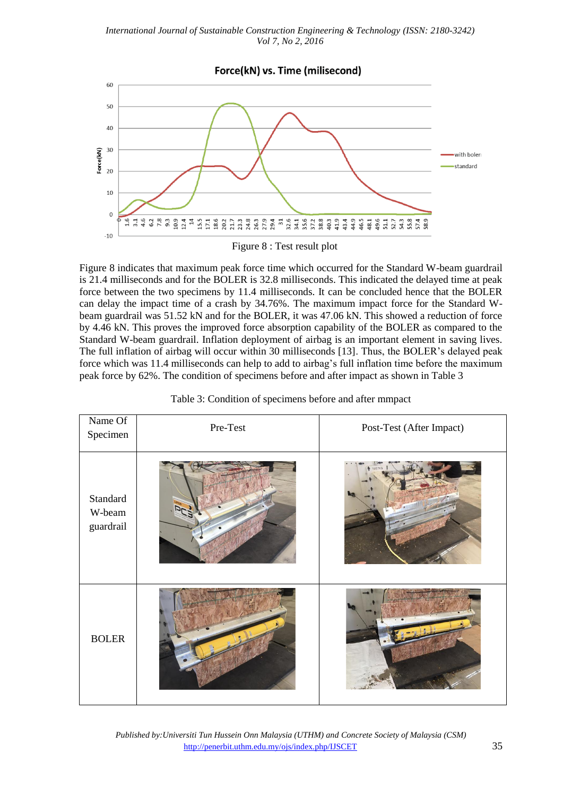

Figure 8 indicates that maximum peak force time which occurred for the Standard W-beam guardrail is 21.4 milliseconds and for the BOLER is 32.8 milliseconds. This indicated the delayed time at peak force between the two specimens by 11.4 milliseconds. It can be concluded hence that the BOLER can delay the impact time of a crash by 34.76%. The maximum impact force for the Standard Wbeam guardrail was 51.52 kN and for the BOLER, it was 47.06 kN. This showed a reduction of force by 4.46 kN. This proves the improved force absorption capability of the BOLER as compared to the Standard W-beam guardrail. Inflation deployment of airbag is an important element in saving lives. The full inflation of airbag will occur within 30 milliseconds [13]. Thus, the BOLER's delayed peak force which was 11.4 milliseconds can help to add to airbag's full inflation time before the maximum peak force by 62%. The condition of specimens before and after impact as shown in Table 3

| Name Of<br>Specimen                    | Pre-Test | Post-Test (After Impact) |
|----------------------------------------|----------|--------------------------|
| Standard<br>W-beam<br>$\it{guardraid}$ |          |                          |
| <b>BOLER</b>                           |          |                          |

Table 3: Condition of specimens before and after mmpact

*Published by:Universiti Tun Hussein Onn Malaysia (UTHM) and Concrete Society of Malaysia (CSM)* http://penerbit.uthm.edu.my/ojs/index.php/IJSCET 35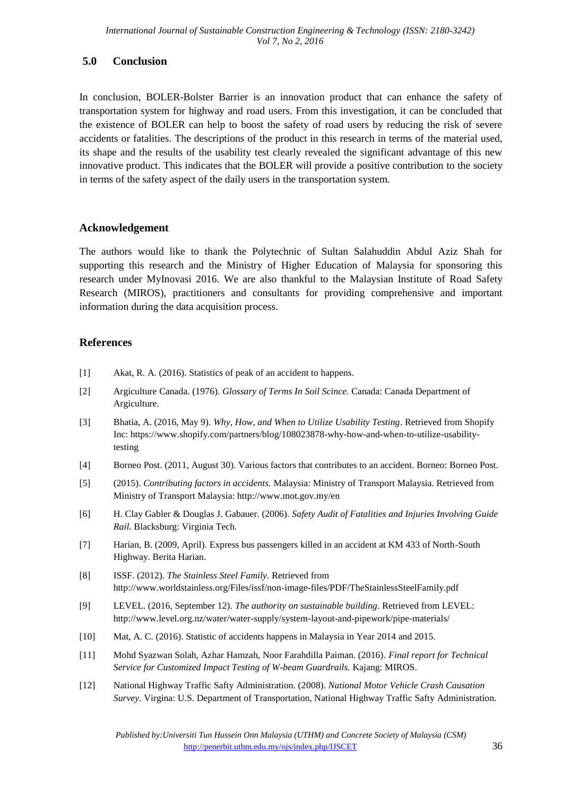# **5.0 Conclusion**

In conclusion, BOLER-Bolster Barrier is an innovation product that can enhance the safety of transportation system for highway and road users. From this investigation, it can be concluded that the existence of BOLER can help to boost the safety of road users by reducing the risk of severe accidents or fatalities. The descriptions of the product in this research in terms of the material used, its shape and the results of the usability test clearly revealed the significant advantage of this new innovative product. This indicates that the BOLER will provide a positive contribution to the society in terms of the safety aspect of the daily users in the transportation system.

## **Acknowledgement**

The authors would like to thank the Polytechnic of Sultan Salahuddin Abdul Aziz Shah for supporting this research and the Ministry of Higher Education of Malaysia for sponsoring this research under MyInovasi 2016. We are also thankful to the Malaysian Institute of Road Safety Research (MIROS), practitioners and consultants for providing comprehensive and important information during the data acquisition process.

## **References**

- [1] Akat, R. A. (2016). Statistics of peak of an accident to happens.
- [2] Argiculture Canada. (1976). *Glossary of Terms In Soil Scince.* Canada: Canada Department of Argiculture.
- [3] Bhatia, A. (2016, May 9). *Why, How, and When to Utilize Usability Testing*. Retrieved from Shopify Inc: https://www.shopify.com/partners/blog/108023878-why-how-and-when-to-utilize-usabilitytesting
- [4] Borneo Post. (2011, August 30). Various factors that contributes to an accident. Borneo: Borneo Post.
- [5] (2015). *Contributing factors in accidents.* Malaysia: Ministry of Transport Malaysia. Retrieved from Ministry of Transport Malaysia: http://www.mot.gov.my/en
- [6] H. Clay Gabler & Douglas J. Gabauer. (2006). *Safety Audit of Fatalities and Injuries Involving Guide Rail.* Blacksburg: Virginia Tech.
- [7] Harian, B. (2009, April). Express bus passengers killed in an accident at KM 433 of North-South Highway. Berita Harian.
- [8] ISSF. (2012). *The Stainless Steel Family.* Retrieved from http://www.worldstainless.org/Files/issf/non-image-files/PDF/TheStainlessSteelFamily.pdf
- [9] LEVEL. (2016, September 12). *The authority on sustainable building*. Retrieved from LEVEL: http://www.level.org.nz/water/water-supply/system-layout-and-pipework/pipe-materials/
- [10] Mat, A. C. (2016). Statistic of accidents happens in Malaysia in Year 2014 and 2015.
- [11] Mohd Syazwan Solah, Azhar Hamzah, Noor Farahdilla Paiman. (2016). *Final report for Technical Service for Customized Impact Testing of W-beam Guardrails.* Kajang: MIROS.
- [12] National Highway Traffic Safty Administration. (2008). *National Motor Vehicle Crash Causation Survey.* Virgina: U.S. Department of Transportation, National Highway Traffic Safty Administration.